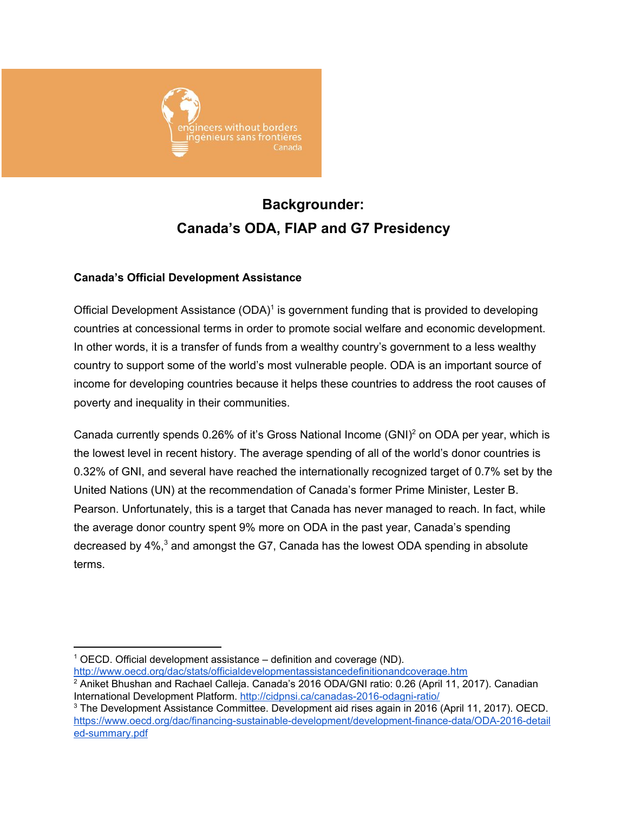

# **Backgrounder: Canada's ODA, FIAP and G7 Presidency**

# **Canada's Official Development Assistance**

Official Development Assistance  $(ODA)^1$  is government funding that is provided to developing countries at concessional terms in order to promote social welfare and economic development. In other words, it is a transfer of funds from a wealthy country's government to a less wealthy country to support some of the world's most vulnerable people. ODA is an important source of income for developing countries because it helps these countries to address the root causes of poverty and inequality in their communities.

Canada currently spends 0.26% of it's Gross National Income (GNI)<sup>2</sup> on ODA per year, which is the lowest level in recent history. The average spending of all of the world's donor countries is 0.32% of GNI, and several have reached the internationally recognized target of 0.7% set by the United Nations (UN) at the recommendation of Canada's former Prime Minister, Lester B. Pearson. Unfortunately, this is a target that Canada has never managed to reach. In fact, while the average donor country spent 9% more on ODA in the past year, Canada's spending decreased by  $4\%,^3$  and amongst the G7, Canada has the lowest ODA spending in absolute terms.

 $1$  OECD[.](http://www.oecd.org/dac/stats/officialdevelopmentassistancedefinitionandcoverage.htm) Official development assistance – definition and coverage (ND). <http://www.oecd.org/dac/stats/officialdevelopmentassistancedefinitionandcoverage.htm>

<sup>&</sup>lt;sup>2</sup> Aniket Bhushan and Rachael Calleja. Canada's 2016 ODA/GNI ratio: 0.26 (April 11, 2017). Canadian International Development Platform. <http://cidpnsi.ca/canadas-2016-odagni-ratio/>

<sup>3</sup> The Development Assistance Committee. Development aid rises again in 2016 (April 11, 2017). OECD. [https://www.oecd.org/dac/financing-sustainable-development/development-finance-data/ODA-2016-detail](https://www.oecd.org/dac/financing-sustainable-development/development-finance-data/ODA-2016-detailed-summary.pdf) [ed-summary.pdf](https://www.oecd.org/dac/financing-sustainable-development/development-finance-data/ODA-2016-detailed-summary.pdf)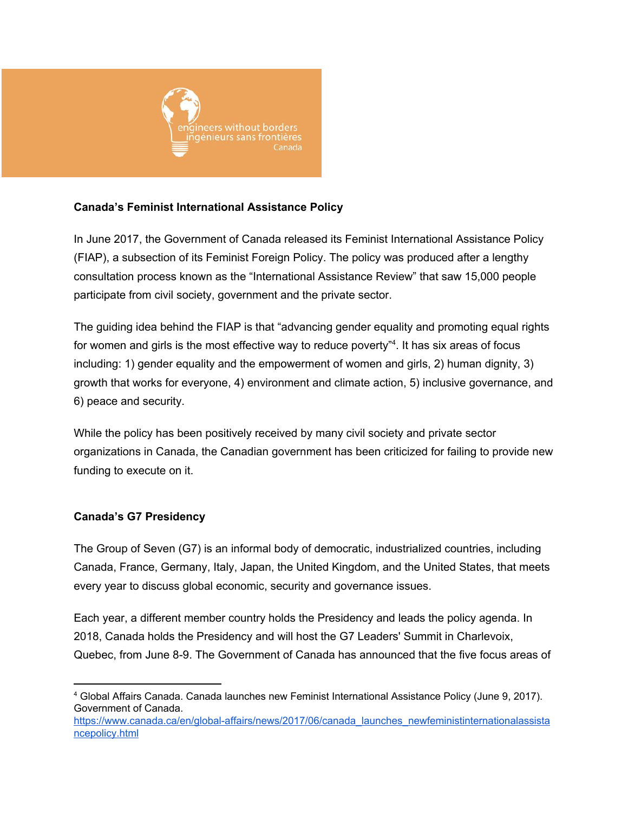

# **Canada's Feminist International Assistance Policy**

In June 2017, the Government of Canada released its Feminist International Assistance Policy (FIAP), a subsection of its Feminist Foreign Policy. The policy was produced after a lengthy consultation process known as the "International Assistance Review" that saw 15,000 people participate from civil society, government and the private sector.

The guiding idea behind the FIAP is that "advancing gender equality and promoting equal rights for women and girls is the most effective way to reduce poverty"<sup>4</sup>. It has six areas of focus including: 1) gender equality and the empowerment of women and girls, 2) human dignity, 3) growth that works for everyone, 4) environment and climate action, 5) inclusive governance, and 6) peace and security.

While the policy has been positively received by many civil society and private sector organizations in Canada, the Canadian government has been criticized for failing to provide new funding to execute on it.

# **Canada's G7 Presidency**

The Group of Seven (G7) is an informal body of democratic, industrialized countries, including Canada, France, Germany, Italy, Japan, the United Kingdom, and the United States, that meets every year to discuss global economic, security and governance issues.

Each year, a different member country holds the Presidency and leads the policy agenda. In 2018, Canada holds the Presidency and will host the G7 Leaders' Summit in Charlevoix, Quebec, from June 8-9. The Government of Canada has announced that the five focus areas of

<sup>4</sup> Global Affairs Canada. Canada launches new Feminist International Assistance Policy (June 9, 2017). Government of Canada[.](https://www.canada.ca/en/global-affairs/news/2017/06/canada_launches_newfeministinternationalassistancepolicy.html)

[https://www.canada.ca/en/global-affairs/news/2017/06/canada\\_launches\\_newfeministinternationalassista](https://www.canada.ca/en/global-affairs/news/2017/06/canada_launches_newfeministinternationalassistancepolicy.html) [ncepolicy.html](https://www.canada.ca/en/global-affairs/news/2017/06/canada_launches_newfeministinternationalassistancepolicy.html)